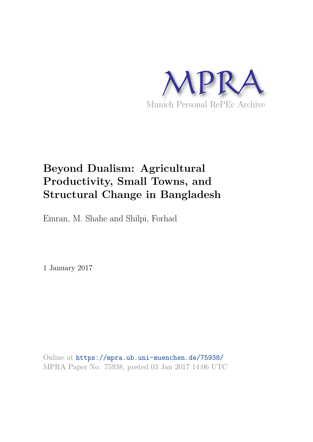

# **Beyond Dualism: Agricultural Productivity, Small Towns, and Structural Change in Bangladesh**

Emran, M. Shahe and Shilpi, Forhad

1 January 2017

Online at https://mpra.ub.uni-muenchen.de/75938/ MPRA Paper No. 75938, posted 03 Jan 2017 14:06 UTC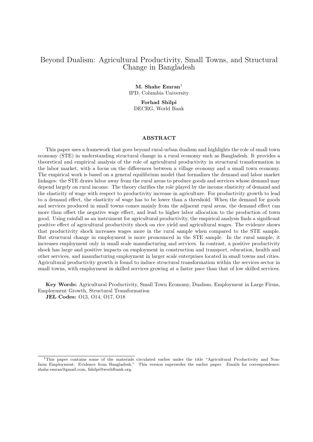# Beyond Dualism: Agricultural Productivity, Small Towns, and Structural Change in Bangladesh

 $M.$  Shahe Emran<sup>1</sup> IPD, Columbia University

Forhad Shilpi DECRG, World Bank

#### ABSTRACT

This paper uses a framework that goes beyond rural-urban dualism and highlights the role of small town economy (STE) in understanding structural change in a rural economy such as Bangladesh. It provides a theoretical and empirical analysis of the role of agricultural productivity in structural transformation in the labor market, with a focus on the differences between a village economy and a small town economy. The empirical work is based on a general equilibrium model that formalizes the demand and labor market linkages: the STE draws labor away from the rural areas to produce goods and services whose demand may depend largely on rural income. The theory clarifies the role played by the income elasticity of demand and the elasticity of wage with respect to productivity increase in agriculture. For productivity growth to lead to a demand effect, the elasticity of wage has to be lower than a threshold. When the demand for goods and services produced in small towns comes mainly from the adjacent rural areas, the demand effect can more than offset the negative wage effect, and lead to higher labor allocation to the production of town good. Using rainfall as an instrument for agricultural productivity, the empirical analysis finds a significant positive effect of agricultural productivity shock on rice yield and agricultural wages. The evidence shows that productivity shock increases wages more in the rural sample when compared to the STE sample. But structural change in employment is more pronounced in the STE sample. In the rural sample, it increases employment only in small scale manufacturing and services. In contrast, a positive productivity shock has large and positive impacts on employment in construction and transport, education, health and other services, and manufacturing employment in larger scale enterprises located in small towns and cities. Agricultural productivity growth is found to induce structural transformation within the services sector in small towns, with employment in skilled services growing at a faster pace than that of low skilled services.

Key Words: Agricultural Productivity, Small Town Economy, Dualism, Employment in Large Firms, Employment Growth, Structural Transformation JEL Codes: O13, O14, O17, O18

<sup>1</sup>This paper contains some of the materials circulated earlier under the title "Agricultural Productivity and Nonfarm Employment: Evidence from Bangladesh." This version supersedes the earlier paper. Emails for correspondence: shahe.emran@gmail.com, fshilpi@worldbank.org.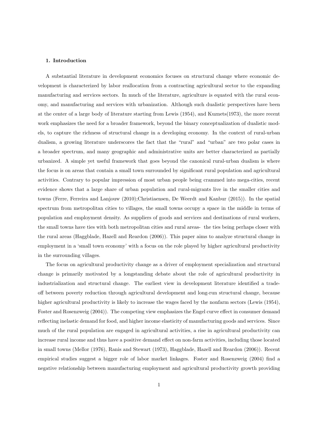# 1. Introduction

A substantial literature in development economics focuses on structural change where economic development is characterized by labor reallocation from a contracting agricultural sector to the expanding manufacturing and services sectors. In much of the literature, agriculture is equated with the rural economy, and manufacturing and services with urbanization. Although such dualistic perspectives have been at the center of a large body of literature starting from Lewis (1954), and Kuznets(1973), the more recent work emphasizes the need for a broader framework, beyond the binary conceptualization of dualistic models, to capture the richness of structural change in a developing economy. In the context of rural-urban dualism, a growing literature underscores the fact that the "rural" and "urban" are two polar cases in a broader spectrum, and many geographic and administrative units are better characterized as partially urbanized. A simple yet useful framework that goes beyond the canonical rural-urban dualism is where the focus is on areas that contain a small town surrounded by significant rural population and agricultural activities. Contrary to popular impression of most urban people being crammed into mega-cities, recent evidence shows that a large share of urban population and rural-migrants live in the smaller cities and towns (Ferre, Ferreira and Lanjouw (2010);Christiaensen, De Weerdt and Kanbur (2015)). In the spatial spectrum from metropolitan cities to villages, the small towns occupy a space in the middle in terms of population and employment density. As suppliers of goods and services and destinations of rural workers, the small towns have ties with both metropolitan cities and rural areas- the ties being perhaps closer with the rural areas (Haggblade, Hazell and Reardon (2006)). This paper aims to analyze structural change in employment in a 'small town economy' with a focus on the role played by higher agricultural productivity in the surrounding villages.

The focus on agricultural productivity change as a driver of employment specialization and structural change is primarily motivated by a longstanding debate about the role of agricultural productivity in industrialization and structural change. The earliest view in development literature identified a tradeoff between poverty reduction through agricultural development and long-run structural change, because higher agricultural productivity is likely to increase the wages faced by the nonfarm sectors (Lewis (1954), Foster and Rosenzweig (2004)). The competing view emphasizes the Engel curve effect in consumer demand reflecting inelastic demand for food, and higher income elasticity of manufacturing goods and services. Since much of the rural population are engaged in agricultural activities, a rise in agricultural productivity can increase rural income and thus have a positive demand effect on non-farm activities, including those located in small towns (Mellor (1976), Ranis and Stewart (1973), Haggblade, Hazell and Reardon (2006)). Recent empirical studies suggest a bigger role of labor market linkages. Foster and Rosenzweig (2004) find a negative relationship between manufacturing employment and agricultural productivity growth providing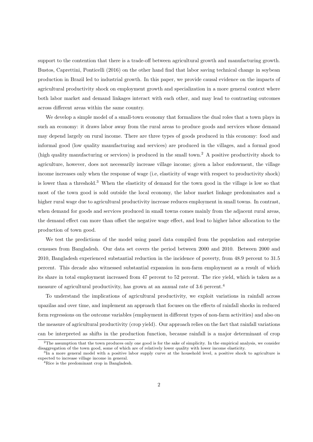support to the contention that there is a trade-off between agricultural growth and manufacturing growth. Bustos, Caprettini, Ponticelli (2016) on the other hand find that labor saving technical change in soybean production in Brazil led to industrial growth. In this paper, we provide causal evidence on the impacts of agricultural productivity shock on employment growth and specialization in a more general context where both labor market and demand linkages interact with each other, and may lead to contrasting outcomes across different areas within the same country.

We develop a simple model of a small-town economy that formalizes the dual roles that a town plays in such an economy: it draws labor away from the rural areas to produce goods and services whose demand may depend largely on rural income. There are three types of goods produced in this economy: food and informal good (low quality manufacturing and services) are produced in the villages, and a formal good (high quality manufacturing or services) is produced in the small town.<sup>2</sup> A positive productivity shock to agriculture, however, does not necessarily increase village income; given a labor endowment, the village income increases only when the response of wage (i.e, elasticity of wage with respect to productivity shock) is lower than a threshold.<sup>3</sup> When the elasticity of demand for the town good in the village is low so that most of the town good is sold outside the local economy, the labor market linkage predominates and a higher rural wage due to agricultural productivity increase reduces employment in small towns. In contrast, when demand for goods and services produced in small towns comes mainly from the adjacent rural areas, the demand effect can more than offset the negative wage effect, and lead to higher labor allocation to the production of town good.

We test the predictions of the model using panel data compiled from the population and enterprise censuses from Bangladesh. Our data set covers the period between 2000 and 2010. Between 2000 and 2010, Bangladesh experienced substantial reduction in the incidence of poverty, from 48.9 percent to 31.5 percent. This decade also witnessed substantial expansion in non-farm employment as a result of which its share in total employment increased from 47 percent to 52 percent. The rice yield, which is taken as a measure of agricultural productivity, has grown at an annual rate of 3.6 percent.<sup>4</sup>

To understand the implications of agricultural productivity, we exploit variations in rainfall across upazilas and over time, and implement an approach that focuses on the effects of rainfall shocks in reduced form regressions on the outcome variables (employment in different types of non-farm activities) and also on the measure of agricultural productivity (crop yield). Our approach relies on the fact that rainfall variations can be interpreted as shifts in the production function, because rainfall is a major determinant of crop

<sup>&</sup>lt;sup>2</sup>The assumption that the town produces only one good is for the sake of simplicity. In the empirical analysis, we consider disaggregation of the town good, some of which are of relatively lower quality with lower income elasticity.

 $3\overline{I}$  a more general model with a positive labor supply curve at the household level, a positive shock to agriculture is expected to increase village income in general.

<sup>4</sup>Rice is the predominant crop in Bangladesh.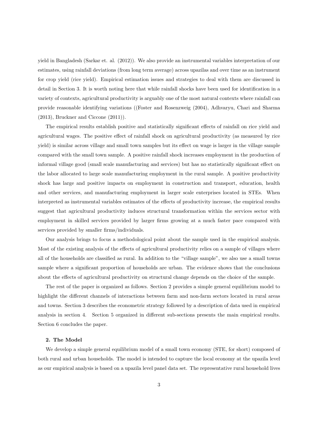yield in Bangladesh (Sarkar et. al. (2012)). We also provide an instrumental variables interpretation of our estimates, using rainfall deviations (from long term average) across upazilas and over time as an instrument for crop yield (rice yield). Empirical estimation issues and strategies to deal with them are discussed in detail in Section 3. It is worth noting here that while rainfall shocks have been used for identification in a variety of contexts, agricultural productivity is arguably one of the most natural contexts where rainfall can provide reasonable identifying variations ((Foster and Rosenzweig (2004), Adhvaryu, Chari and Sharma (2013), Bruckner and Ciccone (2011)).

The empirical results establish positive and statistically significant effects of rainfall on rice yield and agricultural wages. The positive effect of rainfall shock on agricultural productivity (as measured by rice yield) is similar across village and small town samples but its effect on wage is larger in the village sample compared with the small town sample. A positive rainfall shock increases employment in the production of informal village good (small scale manufacturing and services) but has no statistically significant effect on the labor allocated to large scale manufacturing employment in the rural sample. A positive productivity shock has large and positive impacts on employment in construction and transport, education, health and other services, and manufacturing employment in larger scale enterprises located in STEs. When interpreted as instrumental variables estimates of the effects of productivity increase, the empirical results suggest that agricultural productivity induces structural transformation within the services sector with employment in skilled services provided by larger firms growing at a much faster pace compared with services provided by smaller firms/individuals.

Our analysis brings to focus a methodological point about the sample used in the empirical analysis. Most of the existing analysis of the effects of agricultural productivity relies on a sample of villages where all of the households are classified as rural. In addition to the "village sample", we also use a small towns sample where a significant proportion of households are urban. The evidence shows that the conclusions about the effects of agricultural productivity on structural change depends on the choice of the sample.

The rest of the paper is organized as follows. Section 2 provides a simple general equilibrium model to highlight the different channels of interactions between farm and non-farm sectors located in rural areas and towns. Section 3 describes the econometric strategy followed by a description of data used in empirical analysis in section 4. Section 5 organized in different sub-sections presents the main empirical results. Section 6 concludes the paper.

#### 2. The Model

We develop a simple general equilibrium model of a small town economy (STE, for short) composed of both rural and urban households. The model is intended to capture the local economy at the upazila level as our empirical analysis is based on a upazila level panel data set. The representative rural household lives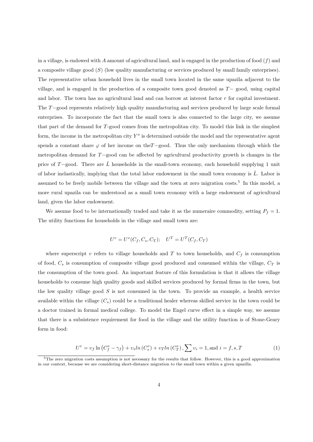in a village, is endowed with A amount of agricultural land, and is engaged in the production of food  $(f)$  and a composite village good  $(S)$  (low quality manufacturing or services produced by small family enterprises). The representative urban household lives in the small town located in the same upazila adjacent to the village, and is engaged in the production of a composite town good denoted as T− good, using capital and labor. The town has no agricultural land and can borrow at interest factor r for capital investment. The T−good represents relatively high quality manufacturing and services produced by large scale formal enterprises. To incorporate the fact that the small town is also connected to the large city, we assume that part of the demand for T-good comes from the metropolitan city. To model this link in the simplest form, the income in the metropolitan city  $Y^o$  is determined outside the model and the representative agent spends a constant share  $\varphi$  of her income on the T−good. Thus the only mechanism through which the metropolitan demand for T−good can be affected by agricultural productivity growth is changes in the price of T−good. There are  $\bar{L}$  households in the small-town economy, each household supplying 1 unit of labor inelastically, implying that the total labor endowment in the small town economy is  $\overline{L}$ . Labor is assumed to be freely mobile between the village and the town at zero migration costs.<sup>5</sup> In this model, a more rural upazila can be understood as a small town economy with a large endowment of agricultural land, given the labor endowment.

We assume food to be internationally traded and take it as the numeraire commodity, setting  $P_f = 1$ . The utility functions for households in the village and small town are:

$$
U^v = U^v(C_f, C_s, C_T); \quad U^T = U^T(C_f, C_T)
$$

where superscript v refers to village households and  $T$  to town households, and  $C_f$  is consumption of food,  $C_s$  is consumption of composite village good produced and consumed within the village,  $C_T$  is the consumption of the town good. An important feature of this formulation is that it allows the village households to consume high quality goods and skilled services produced by formal firms in the town, but the low quality village good  $S$  is not consumed in the town. To provide an example, a health service available within the village  $(C_s)$  could be a traditional healer whereas skilled service in the town could be a doctor trained in formal medical college. To model the Engel curve effect in a simple way, we assume that there is a subsistence requirement for food in the village and the utility function is of Stone-Geary form in food:

$$
U^{v} = v_{f} \ln (C_{f}^{v} - \gamma_{f}) + v_{s} \ln (C_{s}^{v}) + v_{T} \ln (C_{T}^{v}), \sum v_{i} = 1, \text{and } i = f, s, T
$$
 (1)

 $5$ The zero migration costs assumption is not necessary for the results that follow. However, this is a good approximation in our context, because we are considering short-distance migration to the small town within a given upazilla.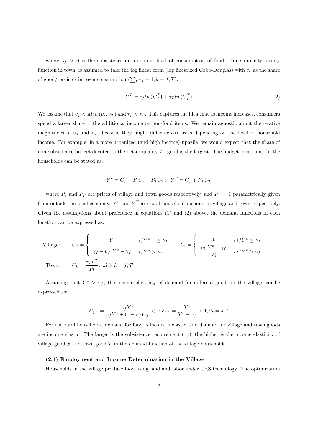where  $\gamma_f > 0$  is the subsistence or minimum level of consumption of food. For simplicity, utility function in town is assumed to take the log linear form (log linearized Cobb-Douglas) with  $\tau_k$  as the share of good/service *i* in town consumption  $(\sum_{k} \tau_k = 1; k = f, T)$ :

$$
U^T = \tau_f ln\left(C_f^T\right) + \tau_T ln\left(C_T^T\right) \tag{2}
$$

We assume that  $v_f \leq Min(v_s, v_T)$  and  $\tau_f \leq \tau_T$ . This captures the idea that as income increases, consumers spend a larger share of the additional income on non-food items. We remain agnostic about the relative magnitudes of  $v_s$  and  $v_T$ , because they might differ across areas depending on the level of household income. For example, in a more urbanized (and high income) upazila, we would expect that the share of non-subsistence budget devoted to the better quality T−good is the largest. The budget constraint for the households can be stated as:

$$
Y^v = C_f + P_s C_s + P_T C_T; \quad Y^T = C_f + P_T C_T
$$

where  $P_s$  and  $P_T$  are prices of village and town goods respectively, and  $P_f = 1$  parametrically given from outside the local economy.  $Y^v$  and  $Y^T$  are total household incomes in village and town respectively. Given the assumptions about preference in equations (1) and (2) above, the demand functions in each location can be expressed as:

$$
\begin{aligned} \text{Village:} \qquad & C_f = \left\{ \begin{array}{ccc} Y^v & if Y^v \leq \gamma_f \\ \gamma_f + \upsilon_f \left[ Y^v - \gamma_f \right] & if Y^v > \gamma_f \end{array} \right. & ; \ C_i = \left\{ \begin{array}{ccc} 0 & , if Y^v \leq \gamma_f \\ \frac{\upsilon_i \left[ Y^v - \gamma_f \right]}{P_i} & , if Y^v > \gamma_f \end{array} \right. \\ \text{Down:} \qquad & C_k = \frac{\tau_k Y^T}{P_k}, \text{ with } k = f, T \end{aligned}
$$

Assuming that  $Y^v > \gamma_f$ , the income elasticity of demand for different goods in the village can be expressed as:

$$
E_{fY} = \frac{\upsilon_f Y^{\upsilon}}{\upsilon_f Y^{\upsilon} + (1 - \upsilon_f)\gamma_f} < 1; E_{iY} = \frac{Y^{\upsilon}}{Y^{\upsilon} - \gamma_f} > 1, \forall i = s, T
$$

For the rural households, demand for food is income inelastic, and demand for village and town goods are income elastic. The larger is the subsistence requirement  $(\gamma_f)$ , the higher is the income elasticity of village good  $S$  and town good  $T$  in the demand function of the village households.

# (2.1) Employment and Income Determination in the Village

Households in the village produce food using land and labor under CRS technology. The optimization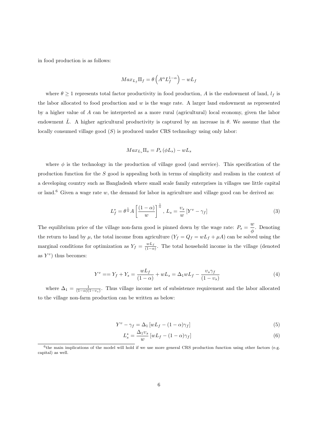in food production is as follows:

$$
Max_{L_f} \Pi_f = \theta \left( A^{\alpha} L_f^{1-\alpha} \right) - wL_f
$$

where  $\theta \geq 1$  represents total factor productivity in food production, A is the endowment of land,  $l_f$  is the labor allocated to food production and w is the wage rate. A larger land endowment as represented by a higher value of A can be interpreted as a more rural (agricultural) local economy, given the labor endowment  $\bar{L}$ . A higher agricultural productivity is captured by an increase in  $\theta$ . We assume that the locally consumed village good  $(S)$  is produced under CRS technology using only labor:

$$
Max_{L_s}\Pi_s = P_s \left(\phi L_s\right) - wL_s
$$

where  $\phi$  is the technology in the production of village good (and service). This specification of the production function for the S good is appealing both in terms of simplicity and realism in the context of a developing country such as Bangladesh where small scale family enterprises in villages use little capital or land.<sup>6</sup> Given a wage rate w, the demand for labor in agriculture and village good can be derived as:

$$
L_f^* = \theta^{\frac{1}{\alpha}} A \left[ \frac{(1-\alpha)}{w} \right]^{\frac{1}{\alpha}}, L_s = \frac{v_s}{w} \left[ Y^v - \gamma_f \right]
$$
 (3)

The equilibrium price of the village non-farm good is pinned down by the wage rate:  $P_s = \frac{w}{4}$  $\frac{\infty}{\phi}$ . Denoting the return to land by  $\mu$ , the total income from agriculture  $(Y_f = Q_f = wL_f + \mu A)$  can be solved using the marginal conditions for optimization as  $Y_f = \frac{wL_f}{(1-\alpha)}$ . The total household income in the village (denoted as  $Y^v$ ) thus becomes:

$$
Y^{v} = Y_{f} + Y_{s} = \frac{wL_{f}}{(1 - \alpha)} + wL_{s} = \Delta_{1}wL_{f} - \frac{v_{s}\gamma_{f}}{(1 - v_{s})}
$$
(4)

where  $\Delta_1 = \frac{1}{(1-\alpha)(1-v_s)}$ . Thus village income net of subsistence requirement and the labor allocated to the village non-farm production can be written as below:

$$
Y^v - \gamma_f = \Delta_1 \left[ w L_f - (1 - \alpha)\gamma_f \right] \tag{5}
$$

$$
L_s^* = \frac{\Delta_1 v_s}{w} \left[ w L_f - (1 - \alpha) \gamma_f \right] \tag{6}
$$

<sup>&</sup>lt;sup>6</sup>the main implications of the model will hold if we use more general CRS production function using other factors (e.g. capital) as well.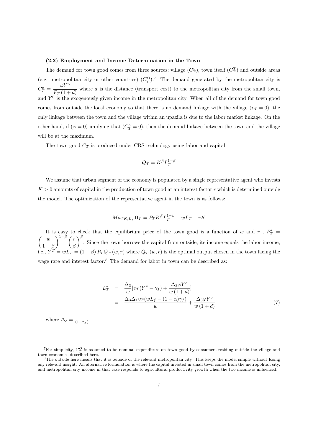# (2.2) Employment and Income Determination in the Town

The demand for town good comes from three sources: village  $(C_T^v)$ , town itself  $(C_T^T)$  and outside areas (e.g. metropolitan city or other countries)  $(C_T^O)^7$ . The demand generated by the metropolitan city is  $C_T^o =$  $\varphi Y^o$  $\frac{P}{P_T(1+d)}$  where d is the distance (transport cost) to the metropolitan city from the small town, and  $Y^0$  is the exogenously given income in the metropolitan city. When all of the demand for town good comes from outside the local economy so that there is no demand linkage with the village  $(\nu_T = 0)$ , the only linkage between the town and the village within an upazila is due to the labor market linkage. On the other hand, if  $(\varphi = 0)$  implying that  $(C_T^o = 0)$ , then the demand linkage between the town and the village will be at the maximum.

The town good  $C_T$  is produced under CRS technology using labor and capital:

$$
Q_T = K^{\beta} L_T^{1-\beta}
$$

We assume that urban segment of the economy is populated by a single representative agent who invests  $K > 0$  amounts of capital in the production of town good at an interest factor r which is determined outside the model. The optimization of the representative agent in the town is as follows:

$$
Max_{K,L_T}\Pi_T = P_T K^{\beta} L_T^{1-\beta} - wL_T - rK
$$

It is easy to check that the equilibrium price of the town good is a function of w and r,  $P_T^*$  =  $\int w$  $1-\beta$  $\sum_{r}^{1-\beta}$  (*r* β  $\setminus^{\beta}$ . Since the town borrows the capital from outside, its income equals the labor income, i.e.,  $Y^T = wL_T = (1 - \beta) P_T Q_T (w, r)$  where  $Q_T (w, r)$  is the optimal output chosen in the town facing the wage rate and interest factor.<sup>8</sup> The demand for labor in town can be described as:

$$
L_T^* = \frac{\Delta_3}{w} [v_T(Y^v - \gamma_f) + \frac{\Delta_3 \varphi Y^o}{w (1 + d)}]
$$
  
= 
$$
\frac{\Delta_3 \Delta_1 v_T (w L_f - (1 - \alpha) \gamma_f)}{w} + \frac{\Delta_3 \varphi Y^o}{w (1 + d)}
$$
(7)

where  $\Delta_3 = \frac{1}{(1-\tau_T)}$ .

<sup>&</sup>lt;sup>7</sup>For simplicity,  $C_T^O$  is assumed to be nominal expenditure on town good by consumers residing outside the village and town economies described here.

<sup>8</sup>The outside here means that it is outside of the relevant metropolitan city. This keeps the model simple without losing any relevant insight. An alternative formulation is where the capital invested in small town comes from the metropolitan city, and metropolitan city income in that case responds to agricultural productivity growth when the two income is influenced.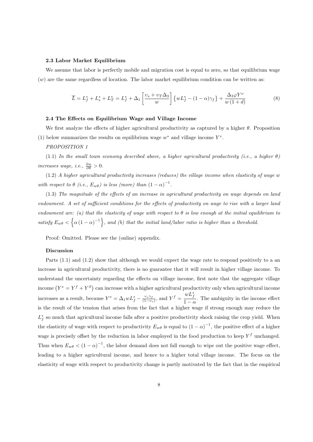#### 2.3 Labor Market Equilibrium

We assume that labor is perfectly mobile and migration cost is equal to zero, so that equilibrium wage  $(w)$  are the same regardless of location. The labor market equilibrium condition can be written as:

$$
\overline{L} = L_f^* + L_s^* + L_T^* = L_f^* + \Delta_1 \left[ \frac{\nu_s + \nu_T \Delta_3}{w} \right] \left\{ w L_f^* - (1 - \alpha)\gamma_f \right\} + \frac{\Delta_3 \varphi Y^o}{w \left( 1 + d \right)} \tag{8}
$$

#### 2.4 The Effects on Equilibrium Wage and Village Income

We first analyze the effects of higher agricultural productivity as captured by a higher  $\theta$ . Proposition (1) below summarizes the results on equilibrium wage  $w^*$  and village income  $Y^v$ .

PROPOSITION 1

 $(1.1)$  In the small town economy described above, a higher agricultural productivity (i.e., a higher  $\theta$ ) increases wage, i.e.,  $\frac{\partial w}{\partial \theta} > 0$ .

(1.2) A higher agricultural productivity increases (reduces) the village income when elasticity of wage w with respect to  $\theta$  (i.e.,  $E_{w\theta}$ ) is less (more) than  $(1-\alpha)^{-1}$ .

(1.3) The magnitude of the effects of an increase in agricultural productivity on wage depends on land endowment. A set of sufficient conditions for the effects of productivity on wage to rise with a larger land endowment are: (a) that the elasticity of wage with respect to  $\theta$  is low enough at the initial equilibrium to satisfy  $E_{w\theta} < \{\alpha (1-\alpha)^{-1}\}\$ , and (b) that the initial land/labor ratio is higher than a threshold.

Proof: Omitted. Please see the (online) appendix.

#### Discussion

Parts  $(1.1)$  and  $(1.2)$  show that although we would expect the wage rate to respond positively to a an increase in agricultural productivity, there is no guarantee that it will result in higher village income. To understand the uncertainty regarding the effects on village income, first note that the aggregate village income  $(Y^v = Y^f + Y^S)$  can increase with a higher agricultural productivity only when agricultural income increases as a result, because  $Y^v = \Delta_1 w L_f^* - \frac{v_s \gamma_f}{(1-v_s)}$ , and  $Y^f =$  $wL_f^*$  $\frac{1}{1-\alpha}$ . The ambiguity in the income effect is the result of the tension that arises from the fact that a higher wage if strong enough may reduce the  $L_f^*$  $f$  so much that agricultural income falls after a positive productivity shock raising the crop yield. When the elasticity of wage with respect to productivity  $E_{w\theta}$  is equal to  $(1-\alpha)^{-1}$ , the positive effect of a higher wage is precisely offset by the reduction in labor employed in the food production to keep  $Y<sup>f</sup>$  unchanged. Thus when  $E_{w\theta} < (1 - \alpha)^{-1}$ , the labor demand does not fall enough to wipe out the positive wage effect, leading to a higher agricultural income, and hence to a higher total village income. The focus on the elasticity of wage with respect to productivity change is partly motivated by the fact that in the empirical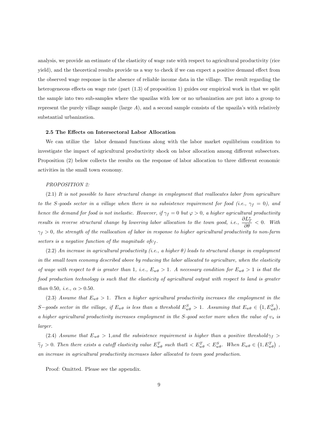analysis, we provide an estimate of the elasticity of wage rate with respect to agricultural productivity (rice yield), and the theoretical results provide us a way to check if we can expect a positive demand effect from the observed wage response in the absence of reliable income data in the village. The result regarding the heterogeneous effects on wage rate (part (1.3) of proposition 1) guides our empirical work in that we split the sample into two sub-samples where the upazilas with low or no urbanization are put into a group to represent the purely village sample (large  $A$ ), and a second sample consists of the upazila's with relatively substantial urbanization.

#### 2.5 The Effects on Intersectoral Labor Allocation

We can utilize the labor demand functions along with the labor market equilibrium condition to investigate the impact of agricultural productivity shock on labor allocation among different subsectors. Proposition (2) below collects the results on the response of labor allocation to three different economic activities in the small town economy.

#### PROPOSITION 2:

(2.1) It is not possible to have structural change in employment that reallocates labor from agriculture to the S-goods sector in a village when there is no subsistence requirement for food (i.e.,  $\gamma_f = 0$ ), and hence the demand for food is not inelastic. However, if  $\gamma_f = 0$  but  $\varphi > 0$ , a higher agricultural productivity results in reverse structural change by lowering labor allocation to the town good, i.e.,  $\frac{\partial L_T^*}{\partial \theta} < 0$ . With  $\gamma_f > 0$ , the strength of the reallocation of labor in response to higher agricultural productivity to non-farm sectors is a negative function of the magnitude of  $v_f$ .

(2.2) An increase in agricultural productivity (i.e., a higher  $\theta$ ) leads to structural change in employment in the small town economy described above by reducing the labor allocated to agriculture, when the elasticity of wage with respect to  $\theta$  is greater than 1, i.e.,  $E_{w\theta} > 1$ . A necessary condition for  $E_{w\theta} > 1$  is that the food production technology is such that the elasticity of agricultural output with respect to land is greater than 0.50, *i.e.*,  $\alpha > 0.50$ .

(2.3) Assume that  $E_{w\theta} > 1$ . Then a higher agricultural productivity increases the employment in the S-goods sector in the village, if  $E_{w\theta}$  is less than a threshold  $E_{w\theta}^S > 1$ . Assuming that  $E_{w\theta} \in (1, E_{w\theta}^S)$ , a higher agricultural productivity increases employment in the S-good sector more when the value of  $v_s$  is larger.

(2.4) Assume that  $E_{w\theta} > 1$ , and the subsistence requirement is higher than a positive threshold  $\gamma_f >$  $\widetilde{\gamma}_f > 0$ . Then there exists a cutoff elasticity value  $E_{w\theta}^T$  such that  $\langle E_{w\theta}^T \rangle < E_{w\theta}^S$ . When  $E_{w\theta} \in (1, E_{w\theta}^T)$ , an increase in agricultural productivity increases labor allocated to town good production.

Proof: Omitted. Please see the appendix.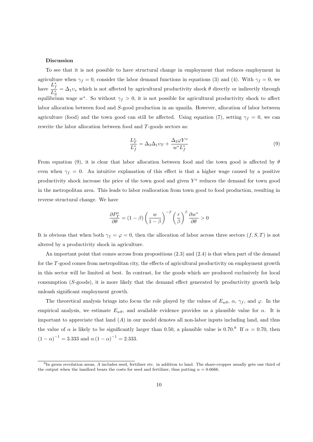# Discussion

To see that it is not possible to have structural change in employment that reduces employment in agriculture when  $\gamma_f = 0$ , consider the labor demand functions in equations (3) and (4). With  $\gamma_f = 0$ , we have  $L_f^*$  $L_S^*$  $=\Delta_1 v_s$  which is not affected by agricultural productivity shock  $\theta$  directly or indirectly through equilibrium wage  $w^*$ . So without  $\gamma_f > 0$ , it is not possible for agricultural productivity shock to affect labor allocation between food and S-good production in an upazila. However, allocation of labor between agriculture (food) and the town good can still be affected. Using equation (7), setting  $\gamma_f = 0$ , we can rewrite the labor allocation between food and T-goods sectors as:

$$
\frac{L_T^*}{L_f^*} = \Delta_3 \Delta_1 v_T + \frac{\Delta_3 \varphi Y^o}{w^* L_f^*} \tag{9}
$$

From equation (9), it is clear that labor allocation between food and the town good is affected by  $\theta$ even when  $\gamma_f = 0$ . An intuitive explanation of this effect is that a higher wage caused by a positive productivity shock increase the price of the town good and given  $Y^o$  reduces the demand for town good in the metropolitan area. This leads to labor reallocation from town good to food production, resulting in reverse structural change. We have

$$
\frac{\partial P_T^*}{\partial \theta} = (1 - \beta) \left(\frac{w}{1 - \beta}\right)^{-\beta} \left(\frac{r}{\beta}\right)^{\beta} \frac{\partial w^*}{\partial \theta} > 0
$$

It is obvious that when both  $\gamma_f = \varphi = 0$ , then the allocation of labor across three sectors  $(f, S, T)$  is not altered by a productivity shock in agriculture.

An important point that comes across from propositions (2.3) and (2.4) is that when part of the demand for the T-good comes from metropolitan city, the effects of agricultural productivity on employment growth in this sector will be limited at best. In contrast, for the goods which are produced exclusively for local consumption (S-goods), it is more likely that the demand effect generated by productivity growth help unleash significant employment growth.

The theoretical analysis brings into focus the role played by the values of  $E_{w\theta}$ ,  $\alpha$ ,  $\gamma_f$ , and  $\varphi$ . In the empirical analysis, we estimate  $E_{w\theta}$ , and available evidence provides us a plausible value for  $\alpha$ . It is important to appreciate that land  $(A)$  in our model denotes all non-labor inputs including land, and thus the value of  $\alpha$  is likely to be significantly larger than 0.50, a plausible value is 0.70.<sup>9</sup> If  $\alpha = 0.70$ , then  $(1 - \alpha)^{-1} = 3.333$  and  $\alpha (1 - \alpha)^{-1} = 2.333$ .

<sup>&</sup>lt;sup>9</sup>In green revolution areas, A includes seed, fertilizer etc. in addition to land. The share-cropper usually gets one third of the output when the landlord bears the costs for seed and fertilizer, thus putting  $\alpha = 0.6666$ .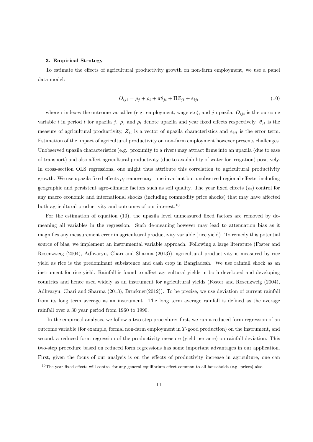#### 3. Empirical Strategy

To estimate the effects of agricultural productivity growth on non-farm employment, we use a panel data model:

$$
O_{ijt} = \rho_j + \rho_t + \pi \theta_{jt} + \Pi Z_{jt} + \varepsilon_{ijt}
$$
\n
$$
(10)
$$

where i indexes the outcome variables (e.g. employment, wage etc), and j upazila.  $O_{ijt}$  is the outcome variable i in period t for upazila j.  $\rho_j$  and  $\rho_t$  denote upazila and year fixed effects respectively.  $\theta_{jt}$  is the measure of agricultural productivity,  $Z_{jt}$  is a vector of upazila characteristics and  $\varepsilon_{ijt}$  is the error term. Estimation of the impact of agricultural productivity on non-farm employment however presents challenges. Unobserved upazila characteristics (e.g., proximity to a river) may attract firms into an upazila (due to ease of transport) and also affect agricultural productivity (due to availability of water for irrigation) positively. In cross-section OLS regressions, one might thus attribute this correlation to agricultural productivity growth. We use upazila fixed effects  $\rho_j$  remove any time invariant but unobserved regional effects, including geographic and persistent agro-climatic factors such as soil quality. The year fixed effects  $(\rho_t)$  control for any macro economic and international shocks (including commodity price shocks) that may have affected both agricultural productivity and outcomes of our interest.<sup>10</sup>

For the estimation of equation (10), the upazila level unmeasured fixed factors are removed by demeaning all variables in the regression. Such de-meaning however may lead to attenuation bias as it magnifies any measurement error in agricultural productivity variable (rice yield). To remedy this potential source of bias, we implement an instrumental variable approach. Following a large literature (Foster and Rosenzweig (2004), Adhvaryu, Chari and Sharma (2013)), agricultural productivity is measured by rice yield as rice is the predominant subsistence and cash crop in Bangladesh. We use rainfall shock as an instrument for rice yield. Rainfall is found to affect agricultural yields in both developed and developing countries and hence used widely as an instrument for agricultural yields (Foster and Rosenzweig (2004), Adhvaryu, Chari and Sharma (2013), Bruckner(2012)). To be precise, we use deviation of current rainfall from its long term average as an instrument. The long term average rainfall is defined as the average rainfall over a 30 year period from 1960 to 1990.

In the empirical analysis, we follow a two step procedure: first, we run a reduced form regression of an outcome variable (for example, formal non-farm employment in T-good production) on the instrument, and second, a reduced form regression of the productivity measure (yield per acre) on rainfall deviation. This two-step procedure based on reduced form regressions has some important advantages in our application. First, given the focus of our analysis is on the effects of productivity increase in agriculture, one can

 $10$ The year fixed effects will control for any general equilibrium effect common to all households (e.g. prices) also.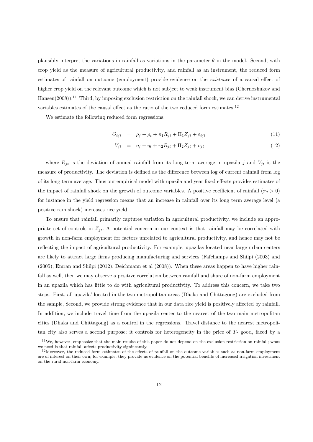plausibly interpret the variations in rainfall as variations in the parameter  $\theta$  in the model. Second, with crop yield as the measure of agricultural productivity, and rainfall as an instrument, the reduced form estimates of rainfall on outcome (employment) provide evidence on the existence of a causal effect of higher crop yield on the relevant outcome which is not subject to weak instrument bias (Chernozhukov and  $Hansen(2008))$ .<sup>11</sup> Third, by imposing exclusion restriction on the rainfall shock, we can derive instrumental variables estimates of the causal effect as the ratio of the two reduced form estimates.<sup>12</sup>

We estimate the following reduced form regressions:

$$
O_{ijt} = \rho_j + \rho_t + \pi_1 R_{jt} + \Pi_1 Z_{jt} + \varepsilon_{ijt}
$$
\n
$$
(11)
$$

$$
V_{jt} = \eta_j + \eta_t + \pi_2 R_{jt} + \Pi_2 Z_{jt} + \nu_{jt}
$$
\n(12)

where  $R_{jt}$  is the deviation of annual rainfall from its long term average in upazila j and  $V_{jt}$  is the measure of productivity. The deviation is defined as the difference between log of current rainfall from log of its long term average. Thus our empirical model with upazila and year fixed effects provides estimates of the impact of rainfall shock on the growth of outcome variables. A positive coefficient of rainfall ( $\pi_2 > 0$ ) for instance in the yield regression means that an increase in rainfall over its long term average level (a positive rain shock) increases rice yield.

To ensure that rainfall primarily captures variation in agricultural productivity, we include an appropriate set of controls in  $Z_{it}$ . A potential concern in our context is that rainfall may be correlated with growth in non-farm employment for factors unrelated to agricultural productivity, and hence may not be reflecting the impact of agricultural productivity. For example, upazilas located near large urban centers are likely to attract large firms producing manufacturing and services (Fafchamps and Shilpi (2003) and (2005), Emran and Shilpi (2012), Deichmann et al (2008)). When these areas happen to have higher rainfall as well, then we may observe a positive correlation between rainfall and share of non-farm employment in an upazila which has little to do with agricultural productivity. To address this concern, we take two steps. First, all upazila' located in the two metropolitan areas (Dhaka and Chittagong) are excluded from the sample, Second, we provide strong evidence that in our data rice yield is positively affected by rainfall. In addition, we include travel time from the upazila center to the nearest of the two main metropolitan cities (Dhaka and Chittagong) as a control in the regressions. Travel distance to the nearest metropolitan city also serves a second purpose; it controls for heterogeneity in the price of T- good, faced by a

<sup>11</sup>We, however, emphasize that the main results of this paper do not depend on the exclusion restriction on rainfall; what we need is that rainfall affects productivity significantly.

<sup>&</sup>lt;sup>12</sup>Moreover, the reduced form estimates of the effects of rainfall on the outcome variables such as non-farm employment are of interest on their own; for example, they provide us evidence on the potential benefits of increased irrigation investment on the rural non-farm economy.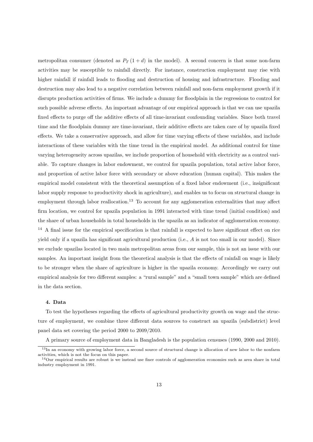metropolitan consumer (denoted as  $P_T(1+d)$  in the model). A second concern is that some non-farm activities may be susceptible to rainfall directly. For instance, construction employment may rise with higher rainfall if rainfall leads to flooding and destruction of housing and infrastructure. Flooding and destruction may also lead to a negative correlation between rainfall and non-farm employment growth if it disrupts production activities of firms. We include a dummy for floodplain in the regressions to control for such possible adverse effects. An important advantage of our empirical approach is that we can use upazila fixed effects to purge off the additive effects of all time-invariant confounding variables. Since both travel time and the floodplain dummy are time-invariant, their additive effects are taken care of by upazila fixed effects. We take a conservative approach, and allow for time varying effects of these variables, and include interactions of these variables with the time trend in the empirical model. As additional control for time varying heterogeneity across upazilas, we include proportion of household with electricity as a control variable. To capture changes in labor endowment, we control for upazila population, total active labor force, and proportion of active labor force with secondary or above education (human capital). This makes the empirical model consistent with the theoretical assumption of a fixed labor endowment (i.e., insignificant labor supply response to productivity shock in agriculture), and enables us to focus on structural change in employment through labor reallocation.<sup>13</sup> To account for any agglomeration externalities that may affect firm location, we control for upazila population in 1991 interacted with time trend (initial condition) and the share of urban households in total households in the upazila as an indicator of agglomeration economy. <sup>14</sup> A final issue for the empirical specification is that rainfall is expected to have significant effect on rice yield only if a upazila has significant agricultural production (i.e., A is not too small in our model). Since we exclude upazilas located in two main metropolitan areas from our sample, this is not an issue with our samples. An important insight from the theoretical analysis is that the effects of rainfall on wage is likely to be stronger when the share of agriculture is higher in the upazila economy. Accordingly we carry out empirical analysis for two different samples: a "rural sample" and a "small town sample" which are defined in the data section.

#### 4. Data

To test the hypotheses regarding the effects of agricultural productivity growth on wage and the structure of employment, we combine three different data sources to construct an upazila (subdistrict) level panel data set covering the period 2000 to 2009/2010.

A primary source of employment data in Bangladesh is the population censuses (1990, 2000 and 2010).

<sup>&</sup>lt;sup>13</sup>In an economy with growing labor force, a second source of structural change is allocation of new labor to the nonfarm activities, which is not the focus on this paper.

 $14$ Our empirical results are robust is we instead use finer controls of agglomeration economies such as area share in total industry employment in 1991.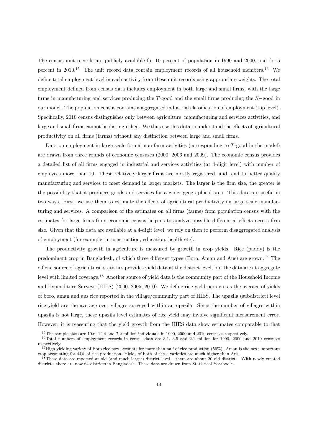The census unit records are publicly available for 10 percent of population in 1990 and 2000, and for 5 percent in 2010.<sup>15</sup> The unit record data contain employment records of all household members.<sup>16</sup> We define total employment level in each activity from these unit records using appropriate weights. The total employment defined from census data includes employment in both large and small firms, with the large firms in manufacturing and services producing the T-good and the small firms producing the S−good in our model. The population census contains a aggregated industrial classification of employment (top level). Specifically, 2010 census distinguishes only between agriculture, manufacturing and services activities, and large and small firms cannot be distinguished. We thus use this data to understand the effects of agricultural productivity on all firms (farms) without any distinction between large and small firms.

Data on employment in large scale formal non-farm activities (corresponding to  $T$ -good in the model) are drawn from three rounds of economic censuses (2000, 2006 and 2009). The economic census provides a detailed list of all firms engaged in industrial and services activities (at 4-digit level) with number of employees more than 10. These relatively larger firms are mostly registered, and tend to better quality manufacturing and services to meet demand in larger markets. The larger is the firm size, the greater is the possibility that it produces goods and services for a wider geographical area. This data are useful in two ways. First, we use them to estimate the effects of agricultural productivity on large scale manufacturing and services. A comparison of the estimates on all firms (farms) from population census with the estimates for large firms from economic census help us to analyze possible differential effects across firm size. Given that this data are available at a 4-digit level, we rely on then to perform disaggregated analysis of employment (for example, in construction, education, health etc).

The productivity growth in agriculture is measured by growth in crop yields. Rice (paddy) is the predominant crop in Bangladesh, of which three different types (Boro, Aman and Aus) are grown.<sup>17</sup> The official source of agricultural statistics provides yield data at the district level, but the data are at aggregate level with limited coverage.<sup>18</sup> Another source of yield data is the community part of the Household Income and Expenditure Surveys (HIES) (2000, 2005, 2010). We define rice yield per acre as the average of yields of boro, aman and aus rice reported in the village/community part of HIES. The upazila (subdistrict) level rice yield are the average over villages surveyed within an upazila. Since the number of villages within upazila is not large, these upazila level estimates of rice yield may involve significant measurement error. However, it is reassuring that the yield growth from the HIES data show estimates comparable to that

<sup>15</sup>The sample sizes are 10.6, 12.4 and 7.2 million individuals in 1990, 2000 and 2010 censuses respectively.

 $16$ Total numbers of employment records in census data are 3.1, 3.5 and 2.1 million for 1990, 2000 and 2010 censuses respectively.

<sup>&</sup>lt;sup>17</sup>High yielding variety of Boro rice now accounts for more than half of rice production  $(56\%)$ . Aman is the next important crop accounting for 44% of rice production. Yields of both of these varieties are much higher than Aus.

<sup>&</sup>lt;sup>18</sup>These data are reported at old (and much larger) district level – there are about 20 old districts. With newly created districts, there are now 64 districts in Bangladesh. These data are drawn from Statistical Yearbooks.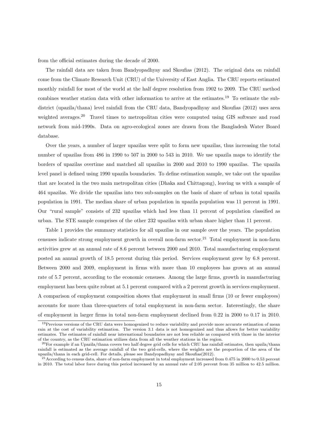from the official estimates during the decade of 2000.

The rainfall data are taken from Bandyopadhyay and Skoufias (2012). The original data on rainfall come from the Climate Research Unit (CRU) of the University of East Anglia. The CRU reports estimated monthly rainfall for most of the world at the half degree resolution from 1902 to 2009. The CRU method combines weather station data with other information to arrive at the estimates.<sup>19</sup> To estimate the subdistrict (upazila/thana) level rainfall from the CRU data, Bandyopadhyay and Skoufias (2012) uses area weighted averages.<sup>20</sup> Travel times to metropolitan cities were computed using GIS software and road network from mid-1990s. Data on agro-ecological zones are drawn from the Bangladesh Water Board database.

Over the years, a number of larger upazilas were split to form new upazilas, thus increasing the total number of upazilas from 486 in 1990 to 507 in 2000 to 543 in 2010. We use upazila maps to identify the borders of upazilas overtime and matched all upazilas in 2000 and 2010 to 1990 upazilas. The upazila level panel is defined using 1990 upazila boundaries. To define estimation sample, we take out the upazilas that are located in the two main metropolitan cities (Dhaka and Chittagong), leaving us with a sample of 464 upazilas. We divide the upazilas into two sub-samples on the basis of share of urban in total upazila population in 1991. The median share of urban population in upazila population was 11 percent in 1991. Our "rural sample" consists of 232 upazilas which had less than 11 percent of population classified as urban. The STE sample comprises of the other 232 upazilas with urban share higher than 11 percent.

Table 1 provides the summary statistics for all upazilas in our sample over the years. The population censuses indicate strong employment growth in overall non-farm sector.<sup>21</sup> Total employment in non-farm activities grew at an annual rate of 8.6 percent between 2000 and 2010. Total manufacturing employment posted an annual growth of 18.5 percent during this period. Services employment grew by 6.8 percent. Between 2000 and 2009, employment in firms with more than 10 employees has grown at an annual rate of 5.7 percent, according to the economic censuses. Among the large firms, growth in manufacturing employment has been quite robust at 5.1 percent compared with a 2 percent growth in services employment. A comparison of employment composition shows that employment in small firms (10 or fewer employees) accounts for more than three-quarters of total employment in non-farm sector. Interestingly, the share of employment in larger firms in total non-farm employment declined from 0.22 in 2000 to 0.17 in 2010.

 $19$  Previous versions of the CRU data were homogenized to reduce variability and provide more accurate estimation of mean rain at the cost of variability estimation. The version 3.1 data is not homogenized and thus allows for better variability estimates. The estimates of rainfall near international boundaries are not less reliable as compared with those in the interior of the country, as the CRU estimation utilizes data from all the weather stations in the region.

<sup>&</sup>lt;sup>20</sup>For example if an Upazila/thana covers two half degree grid cells for which CRU has rainfall estimates, then upzila/thana rainfall is estimated as the average rainfall of the two grid-cells, where the weights are the proportion of the area of the upazila/thana in each grid-cell. For details, please see Bandyopadhyay and Skoufias(2012).

 $^{21}$  According to census data, share of non-farm employment in total employment increased from 0.475 in 2000 to 0.53 percent in 2010. The total labor force during this period increased by an annual rate of 2.05 percent from 35 million to 42.5 million.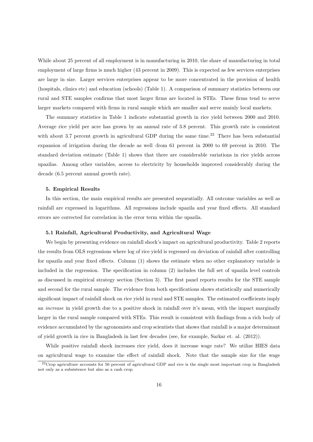While about 25 percent of all employment is in manufacturing in 2010, the share of manufacturing in total employment of large firms is much higher (43 percent in 2009). This is expected as few services enterprises are large in size. Larger services enterprises appear to be more concentrated in the provision of health (hospitals, clinics etc) and education (schools) (Table 1). A comparison of summary statistics between our rural and STE samples confirms that most larger firms are located in STEs. These firms tend to serve larger markets compared with firms in rural sample which are smaller and serve mainly local markets.

The summary statistics in Table 1 indicate substantial growth in rice yield between 2000 and 2010. Average rice yield per acre has grown by an annual rate of 3.8 percent. This growth rate is consistent with about 3.7 percent growth in agricultural GDP during the same time.<sup>22</sup> There has been substantial expansion of irrigation during the decade as well -from 61 percent in 2000 to 69 percent in 2010. The standard deviation estimate (Table 1) shows that there are considerable variations in rice yields across upazilas. Among other variables, access to electricity by households improved considerably during the decade (6.5 percent annual growth rate).

#### 5. Empirical Results

In this section, the main empirical results are presented sequentially. All outcome variables as well as rainfall are expressed in logarithms. All regressions include upazila and year fixed effects. All standard errors are corrected for correlation in the error term within the upazila.

# 5.1 Rainfall, Agricultural Productivity, and Agricultural Wage

We begin by presenting evidence on rainfall shock's impact on agricultural productivity. Table 2 reports the results from OLS regressions where log of rice yield is regressed on deviation of rainfall after controlling for upazila and year fixed effects. Column (1) shows the estimate when no other explanatory variable is included in the regression. The specification in column (2) includes the full set of upazila level controls as discussed in empirical strategy section (Section 3). The first panel reports results for the STE sample and second for the rural sample. The evidence from both specifications shows statistically and numerically significant impact of rainfall shock on rice yield in rural and STE samples. The estimated coefficients imply an increase in yield growth due to a positive shock in rainfall over it's mean, with the impact marginally larger in the rural sample compared with STEs. This result is consistent with findings from a rich body of evidence accumulated by the agronomists and crop scientists that shows that rainfall is a major determinant of yield growth in rice in Bangladesh in last few decades (see, for example, Sarkar et. al. (2012)).

While positive rainfall shock increases rice yield, does it increase wage rate? We utilize HIES data on agricultural wage to examine the effect of rainfall shock. Note that the sample size for the wage

 $22$ Crop agriculture accounts for 56 percent of agricultural GDP and rice is the single most important crop in Bangladesh not only as a subsistence but also as a cash crop.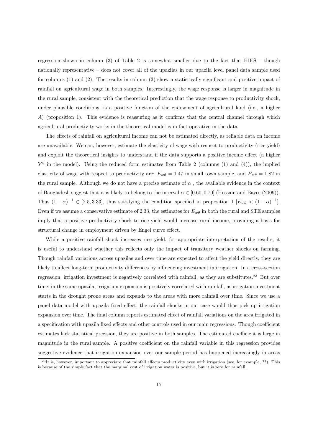regression shown in column (3) of Table 2 is somewhat smaller due to the fact that HIES – though nationally representative – does not cover all of the upazilas in our upazila level panel data sample used for columns (1) and (2). The results in column (3) show a statistically significant and positive impact of rainfall on agricultural wage in both samples. Interestingly, the wage response is larger in magnitude in the rural sample, consistent with the theoretical prediction that the wage response to productivity shock, under plausible conditions, is a positive function of the endowment of agricultural land (i.e., a higher A) (proposition 1). This evidence is reassuring as it confirms that the central channel through which agricultural productivity works in the theoretical model is in fact operative in the data.

The effects of rainfall on agricultural income can not be estimated directly, as reliable data on income are unavailable. We can, however, estimate the elasticity of wage with respect to productivity (rice yield) and exploit the theoretical insights to understand if the data supports a positive income effect (a higher  $Y^v$  in the model). Using the reduced form estimates from Table 2 (columns (1) and (4)), the implied elasticity of wage with respect to productivity are:  $E_{w\theta} = 1.47$  in small town sample, and  $E_{w\theta} = 1.82$  in the rural sample. Although we do not have a precise estimate of  $\alpha$ , the available evidence in the context of Bangladesh suggest that it is likely to belong to the interval  $\alpha \in [0.60, 0.70]$  (Hossain and Bayes (2009)). Thus  $(1-\alpha)^{-1} \in [2.5, 3.33]$ , thus satisfying the condition specified in proposition 1  $[E_{w\theta} < (1-\alpha)^{-1}]$ . Even if we assume a conservative estimate of 2.33, the estimates for  $E_{w\theta}$  in both the rural and STE samples imply that a positive productivity shock to rice yield would increase rural income, providing a basis for structural change in employment driven by Engel curve effect.

While a positive rainfall shock increases rice yield, for appropriate interpretation of the results, it is useful to understand whether this reflects only the impact of transitory weather shocks on farming. Though rainfall variations across upazilas and over time are expected to affect the yield directly, they are likely to affect long-term productivity differences by influencing investment in irrigation. In a cross-section regression, irrigation investment is negatively correlated with rainfall, as they are substitutes.<sup>23</sup> But over time, in the same upazila, irrigation expansion is positively correlated with rainfall, as irrigation investment starts in the drought prone areas and expands to the areas with more rainfall over time. Since we use a panel data model with upazila fixed effect, the rainfall shocks in our case would thus pick up irrigation expansion over time. The final column reports estimated effect of rainfall variations on the area irrigated in a specification with upazila fixed effects and other controls used in our main regressions. Though coefficient estimates lack statistical precision, they are positive in both samples. The estimated coefficient is large in magnitude in the rural sample. A positive coefficient on the rainfall variable in this regression provides suggestive evidence that irrigation expansion over our sample period has happened increasingly in areas

 $^{23}$ It is, however, important to appreciate that rainfall affects productivity even with irrigation (see, for example, ??). This is because of the simple fact that the marginal cost of irrigation water is positive, but it is zero for rainfall.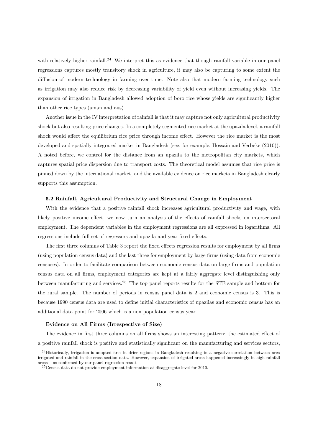with relatively higher rainfall.<sup>24</sup> We interpret this as evidence that though rainfall variable in our panel regressions captures mostly transitory shock in agriculture, it may also be capturing to some extent the diffusion of modern technology in farming over time. Note also that modern farming technology such as irrigation may also reduce risk by decreasing variability of yield even without increasing yields. The expansion of irrigation in Bangladesh allowed adoption of boro rice whose yields are significantly higher than other rice types (aman and aus).

Another issue in the IV interpretation of rainfall is that it may capture not only agricultural productivity shock but also resulting price changes. In a completely segmented rice market at the upazila level, a rainfall shock would affect the equilibrium rice price through income effect. However the rice market is the most developed and spatially integrated market in Bangladesh (see, for example, Hossain and Verbeke (2010)). A noted before, we control for the distance from an upazila to the metropolitan city markets, which captures spatial price dispersion due to transport costs. The theoretical model assumes that rice price is pinned down by the international market, and the available evidence on rice markets in Bangladesh clearly supports this assumption.

#### 5.2 Rainfall, Agricultural Productivity and Structural Change in Employment

With the evidence that a positive rainfall shock increases agricultural productivity and wage, with likely positive income effect, we now turn an analysis of the effects of rainfall shocks on intersectoral employment. The dependent variables in the employment regressions are all expressed in logarithms. All regressions include full set of regressors and upazila and year fixed effects.

The first three columns of Table 3 report the fixed effects regression results for employment by all firms (using population census data) and the last three for employment by large firms (using data from economic censuses). In order to facilitate comparison between economic census data on large firms and population census data on all firms, employment categories are kept at a fairly aggregate level distinguishing only between manufacturing and services.<sup>25</sup> The top panel reports results for the STE sample and bottom for the rural sample. The number of periods in census panel data is 2 and economic census is 3. This is because 1990 census data are used to define initial characteristics of upazilas and economic census has an additional data point for 2006 which is a non-population census year.

## Evidence on All Firms (Irrespective of Size)

The evidence in first three columns on all firms shows an interesting pattern: the estimated effect of a positive rainfall shock is positive and statistically significant on the manufacturing and services sectors,

<sup>24</sup>Historically, irrigation is adopted first in drier regions in Bangladesh resulting in a negative correlation between area irrigated and rainfall in the cross-section data. However, expansion of irrigated areas happened increasingly in high rainfall areas – as confirmed by our panel regression result.

<sup>25</sup>Census data do not provide employment information at disaggregate level for 2010.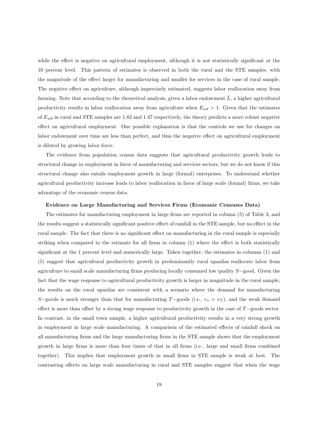while the effect is negative on agricultural employment, although it is not statistically significant at the 10 percent level. This pattern of estimates is observed in both the rural and the STE samples, with the magnitude of the effect larger for manufacturing and smaller for services in the case of rural sample. The negative effect on agriculture, although imprecisely estimated, suggests labor reallocation away from farming. Note that according to the theoretical analysis, given a labor endowment  $L$ , a higher agricultural productivity results in labor reallocation away from agriculture when  $E_{w\theta} > 1$ . Given that the estimates of  $E_{w\theta}$  in rural and STE samples are 1.82 and 1.47 respectively, the theory predicts a more robust negative effect on agricultural employment. One possible explanation is that the controls we use for changes on labor endowment over time are less than perfect, and thus the negative effect on agricultural employment is diluted by growing labor force.

The evidence from population census data suggests that agricultural productivity growth leads to structural change in employment in favor of manufacturing and services sectors, but we do not know if this structural change also entails employment growth in large (formal) enterprises. To understand whether agricultural productivity increase leads to labor reallocation in favor of large scale (formal) firms, we take advantage of the economic census data.

#### Evidence on Large Manufacturing and Services Firms (Economic Censuses Data)

The estimates for manufacturing employment in large firms are reported in column (5) of Table 3, and the results suggest a statistically significant positive effect of rainfall in the STE sample, but no effect in the rural sample. The fact that there is no significant effect on manufacturing in the rural sample is especially striking when compared to the estimate for all firms in column (1) where the effect is both statistically significant at the 1 percent level and numerically large. Taken together, the estimates in columns (1) and (5) suggest that agricultural productivity growth in predominantly rural upazilas reallocate labor from agriculture to small scale manufacturing firms producing locally consumed low quality S−good. Given the fact that the wage response to agricultural productivity growth is larger in magnitude in the rural sample, the results on the rural upazilas are consistent with a scenario where the demand for manufacturing S–goods is much stronger than that for manufacturing T–goods (i.e.,  $v_s > v_T$ ), and the weak demand effect is more than offset by a strong wage response to productivity growth in the case of T−goods sector. In contrast, in the small town sample, a higher agricultural productivity results in a very strong growth in employment in large scale manufacturing. A comparison of the estimated effects of rainfall shock on all manufacturing firms and the large manufacturing firms in the STE sample shows that the employment growth in large firms is more than four times of that in all firms (i.e., large and small firms combined together). This implies that employment growth in small firms in STE sample is weak at best. The contrasting effects on large scale manufacturing in rural and STE samples suggest that when the wage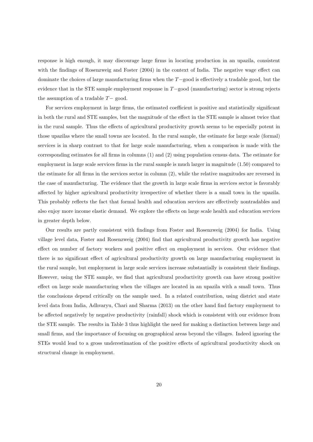response is high enough, it may discourage large firms in locating production in an upazila, consistent with the findings of Rosenzweig and Foster (2004) in the context of India. The negative wage effect can dominate the choices of large manufacturing firms when the T−good is effectively a tradable good, but the evidence that in the STE sample employment response in T−good (manufacturing) sector is strong rejects the assumption of a tradable T− good.

For services employment in large firms, the estimated coefficient is positive and statistically significant in both the rural and STE samples, but the magnitude of the effect in the STE sample is almost twice that in the rural sample. Thus the effects of agricultural productivity growth seems to be especially potent in those upazilas where the small towns are located. In the rural sample, the estimate for large scale (formal) services is in sharp contrast to that for large scale manufacturing, when a comparison is made with the corresponding estimates for all firms in columns (1) and (2) using population census data. The estimate for employment in large scale services firms in the rural sample is much larger in magnitude (1.50) compared to the estimate for all firms in the services sector in column (2), while the relative magnitudes are reversed in the case of manufacturing. The evidence that the growth in large scale firms in services sector is favorably affected by higher agricultural productivity irrespective of whether there is a small town in the upazila. This probably reflects the fact that formal health and education services are effectively nontradables and also enjoy more income elastic demand. We explore the effects on large scale health and education services in greater depth below.

Our results are partly consistent with findings from Foster and Rosenzweig (2004) for India. Using village level data, Foster and Rosenzweig (2004) find that agricultural productivity growth has negative effect on number of factory workers and positive effect on employment in services. Our evidence that there is no significant effect of agricultural productivity growth on large manufacturing employment in the rural sample, but employment in large scale services increase substantially is consistent their findings. However, using the STE sample, we find that agricultural productivity growth can have strong positive effect on large scale manufacturing when the villages are located in an upazila with a small town. Thus the conclusions depend critically on the sample used. In a related contribution, using district and state level data from India, Adhvaryu, Chari and Sharma (2013) on the other hand find factory employment to be affected negatively by negative productivity (rainfall) shock which is consistent with our evidence from the STE sample. The results in Table 3 thus highlight the need for making a distinction between large and small firms, and the importance of focusing on geographical areas beyond the villages. Indeed ignoring the STEs would lead to a gross underestimation of the positive effects of agricultural productivity shock on structural change in employment.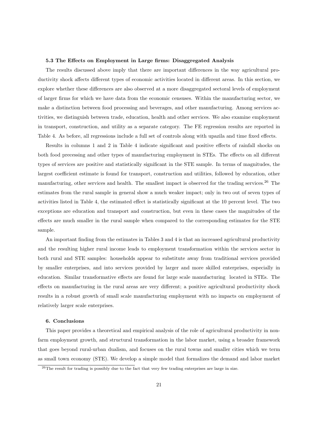# 5.3 The Effects on Employment in Large firms: Disaggregated Analysis

The results discussed above imply that there are important differences in the way agricultural productivity shock affects different types of economic activities located in different areas. In this section, we explore whether these differences are also observed at a more disaggregated sectoral levels of employment of larger firms for which we have data from the economic censuses. Within the manufacturing sector, we make a distinction between food processing and beverages, and other manufacturing. Among services activities, we distinguish between trade, education, health and other services. We also examine employment in transport, construction, and utility as a separate category. The FE regression results are reported in Table 4. As before, all regressions include a full set of controls along with upazila and time fixed effects.

Results in columns 1 and 2 in Table 4 indicate significant and positive effects of rainfall shocks on both food precessing and other types of manufacturing employment in STEs. The effects on all different types of services are positive and statistically significant in the STE sample. In terms of magnitudes, the largest coefficient estimate is found for transport, construction and utilities, followed by education, other manufacturing, other services and health. The smallest impact is observed for the trading services.<sup>26</sup> The estimates from the rural sample in general show a much weaker impact; only in two out of seven types of activities listed in Table 4, the estimated effect is statistically significant at the 10 percent level. The two exceptions are education and transport and construction, but even in these cases the magnitudes of the effects are much smaller in the rural sample when compared to the corresponding estimates for the STE sample.

An important finding from the estimates in Tables 3 and 4 is that an increased agricultural productivity and the resulting higher rural income leads to employment transformation within the services sector in both rural and STE samples: households appear to substitute away from traditional services provided by smaller enterprises, and into services provided by larger and more skilled enterprises, especially in education. Similar transformative effects are found for large scale manufacturing located in STEs. The effects on manufacturing in the rural areas are very different; a positive agricultural productivity shock results in a robust growth of small scale manufacturing employment with no impacts on employment of relatively larger scale enterprises.

### 6. Conclusions

This paper provides a theoretical and empirical analysis of the role of agricultural productivity in nonfarm employment growth, and structural transformation in the labor market, using a broader framework that goes beyond rural-urban dualism, and focuses on the rural towns and smaller cities which we term as small town economy (STE). We develop a simple model that formalizes the demand and labor market

 $^{26}$ The result for trading is possibly due to the fact that very few trading enterprises are large in size.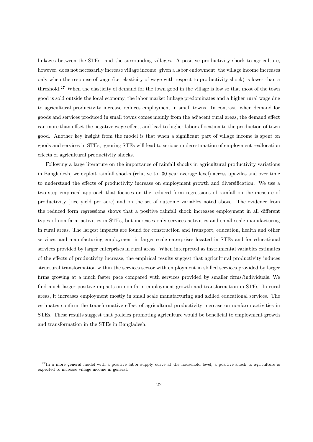linkages between the STEs and the surrounding villages. A positive productivity shock to agriculture, however, does not necessarily increase village income; given a labor endowment, the village income increases only when the response of wage (i.e, elasticity of wage with respect to productivity shock) is lower than a threshold.<sup>27</sup> When the elasticity of demand for the town good in the village is low so that most of the town good is sold outside the local economy, the labor market linkage predominates and a higher rural wage due to agricultural productivity increase reduces employment in small towns. In contrast, when demand for goods and services produced in small towns comes mainly from the adjacent rural areas, the demand effect can more than offset the negative wage effect, and lead to higher labor allocation to the production of town good. Another key insight from the model is that when a significant part of village income is spent on goods and services in STEs, ignoring STEs will lead to serious underestimation of employment reallocation effects of agricultural productivity shocks.

Following a large literature on the importance of rainfall shocks in agricultural productivity variations in Bangladesh, we exploit rainfall shocks (relative to 30 year average level) across upazilas and over time to understand the effects of productivity increase on employment growth and diversification. We use a two step empirical approach that focuses on the reduced form regressions of rainfall on the measure of productivity (rice yield per acre) and on the set of outcome variables noted above. The evidence from the reduced form regressions shows that a positive rainfall shock increases employment in all different types of non-farm activities in STEs, but increases only services activities and small scale manufacturing in rural areas. The largest impacts are found for construction and transport, education, health and other services, and manufacturing employment in larger scale enterprises located in STEs and for educational services provided by larger enterprises in rural areas. When interpreted as instrumental variables estimates of the effects of productivity increase, the empirical results suggest that agricultural productivity induces structural transformation within the services sector with employment in skilled services provided by larger firms growing at a much faster pace compared with services provided by smaller firms/individuals. We find much larger positive impacts on non-farm employment growth and transformation in STEs. In rural areas, it increases employment mostly in small scale manufacturing and skilled educational services. The estimates confirm the transformative effect of agricultural productivity increase on nonfarm activities in STEs. These results suggest that policies promoting agriculture would be beneficial to employment growth and transformation in the STEs in Bangladesh.

 $27$ In a more general model with a positive labor supply curve at the household level, a positive shock to agriculture is expected to increase village income in general.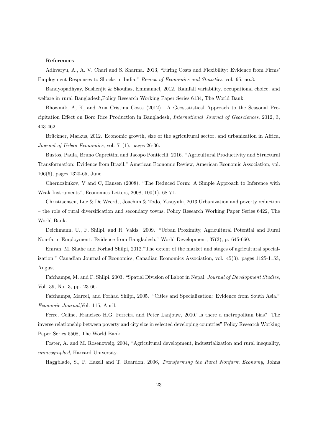#### References

Adhvaryu, A., A. V. Chari and S. Sharma. 2013, "Firing Costs and Flexibility: Evidence from Firms' Employment Responses to Shocks in India," Review of Economics and Statistics, vol. 95, no.3.

Bandyopadhyay, Sushenjit & Skoufias, Emmanuel, 2012. Rainfall variability, occupational choice, and welfare in rural Bangladesh,Policy Research Working Paper Series 6134, The World Bank.

Bhowmik, A, K, and Ana Cristina Costa (2012). A Geostatistical Approach to the Seasonal Precipitation Effect on Boro Rice Production in Bangladesh, International Journal of Geosciences, 2012, 3, 443-462

Brückner, Markus, 2012. Economic growth, size of the agricultural sector, and urbanization in Africa, Journal of Urban Economics, vol. 71(1), pages 26-36.

Bustos, Paula, Bruno Caprettini and Jacopo Ponticelli, 2016. "Agricultural Productivity and Structural Transformation: Evidence from Brazil," American Economic Review, American Economic Association, vol. 106(6), pages 1320-65, June.

Chernozhukov, V and C, Hansen (2008), "The Reduced Form: A Simple Approach to Inference with Weak Instruments", Economics Letters, 2008, 100(1), 68-71.

Christiaensen, Luc & De Weerdt, Joachim & Todo, Yasuyuki, 2013.Urbanization and poverty reduction – the role of rural diversification and secondary towns, Policy Research Working Paper Series 6422, The World Bank.

Deichmann, U., F. Shilpi, and R. Vakis. 2009. "Urban Proximity, Agricultural Potential and Rural Non-farm Employment: Evidence from Bangladesh," World Development, 37(3), p. 645-660.

Emran, M. Shahe and Forhad Shilpi, 2012."The extent of the market and stages of agricultural specialization," Canadian Journal of Economics, Canadian Economics Association, vol. 45(3), pages 1125-1153, August.

Fafchamps, M. and F. Shilpi, 2003, "Spatial Division of Labor in Nepal, Journal of Development Studies, Vol. 39, No. 3, pp. 23-66.

Fafchamps, Marcel, and Forhad Shilpi, 2005. "Cities and Specialization: Evidence from South Asia." Economic Journal,Vol. 115, April.

Ferre, Celine, Francisco H.G. Ferreira and Peter Lanjouw, 2010."Is there a metropolitan bias? The inverse relationship between poverty and city size in selected developing countries" Policy Research Working Paper Series 5508, The World Bank.

Foster, A. and M. Rosenzweig, 2004, "Agricultural development, industrialization and rural inequality, mimeographed, Harvard University.

Haggblade, S., P. Hazell and T. Reardon, 2006, Transforming the Rural Nonfarm Economy, Johns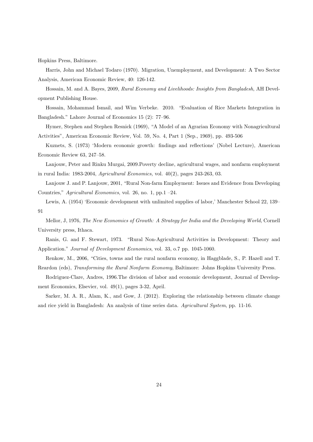Hopkins Press, Baltimore.

Harris, John and Michael Todaro (1970). Migration, Unemployment, and Development: A Two Sector Analysis, American Economic Review, 40: 126-142.

Hossain, M. and A. Bayes, 2009, Rural Economy and Livelihoods: Insights from Bangladesh, AH Development Publishing House.

Hossain, Mohammad Ismail, and Wim Verbeke. 2010. "Evaluation of Rice Markets Integration in Bangladesh." Lahore Journal of Economics 15 (2): 77–96.

Hymer, Stephen and Stephen Resnick (1969), "A Model of an Agrarian Economy with Nonagricultural Activities", American Economic Review, Vol. 59, No. 4, Part 1 (Sep., 1969), pp. 493-506

Kuznets, S. (1973) 'Modern economic growth: findings and reflections' (Nobel Lecture), American Economic Review 63, 247–58.

Lanjouw, Peter and Rinku Murgai, 2009.Poverty decline, agricultural wages, and nonfarm employment in rural India: 1983-2004, Agricultural Economics, vol. 40(2), pages 243-263, 03.

Lanjouw J. and P. Lanjouw, 2001, "Rural Non-farm Employment: Issues and Evidence from Developing Countries," Agricultural Economics, vol. 26, no. 1, pp.1 –24.

Lewis, A. (1954) 'Economic development with unlimited supplies of labor,' Manchester School 22, 139– 91

Mellor, J, 1976, The New Economics of Growth: A Strategy for India and the Developing World, Cornell University press, Ithaca.

Ranis, G. and F. Stewart, 1973. "Rural Non-Agricultural Activities in Development: Theory and Application." Journal of Development Economics, vol. 33, o.7 pp. 1045-1060.

Renkow, M., 2006, "Cities, towns and the rural nonfarm economy, in Haggblade, S., P. Hazell and T. Reardon (eds), Transforming the Rural Nonfarm Economy, Baltimore: Johns Hopkins University Press.

Rodriguez-Clare, Andres, 1996.The division of labor and economic development, Journal of Development Economics, Elsevier, vol. 49(1), pages 3-32, April.

Sarker, M. A. R., Alam, K., and Gow, J. (2012). Exploring the relationship between climate change and rice yield in Bangladesh: An analysis of time series data. Agricultural System, pp. 11-16.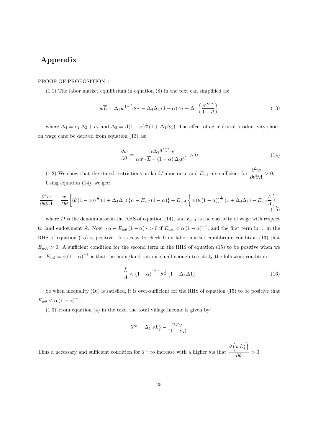# Appendix

# PROOF OF PROPOSITION 1

 $(1.1)$  The labor market equilibrium in equation  $(8)$  in the text can simplified as:

$$
w\overline{L} = \Delta_5 w^{1-\frac{1}{\alpha}} \theta^{\frac{1}{\alpha}} - \Delta_4 \Delta_1 (1-\alpha) \gamma_f + \Delta_3 \left(\frac{\varphi Y^o}{1+d}\right)
$$
(13)

where  $\Delta_4 = v_T \Delta_3 + v_s$  and  $\Delta_5 = A(1-\alpha)^{\frac{1}{\alpha}}(1+\Delta_4\Delta_1)$ . The effect of agricultural productivity shock on wage cane be derived from equation (13) as:

$$
\frac{\partial w}{\partial \theta} = \frac{\alpha \Delta_5 \theta^{\frac{1-a}{\alpha}} w}{\alpha w^{\frac{1}{\alpha}} \overline{L} + (1 - \alpha) \Delta_5 \theta^{\frac{1}{\alpha}}} > 0
$$
\n(14)

(1.2) We show that the stated restrictions on land/labor ratio and  $E_{w\theta}$  are sufficient for  $\frac{\partial^2 w}{\partial \theta \partial A} > 0$ . Using equation (14), we get:

$$
\frac{\partial^2 w}{\partial \theta \partial A} = \frac{w}{D\theta} \left[ \left( \theta \left( 1 - \alpha \right) \right)^{\frac{1}{\alpha}} \left( 1 + \Delta_4 \Delta_1 \right) \left\{ \alpha - E_{w\theta} \left( 1 - \alpha \right) \right\} + E_{wA} \left\{ \alpha \left( \theta \left( 1 - \alpha \right) \right)^{\frac{1}{\alpha}} \left( 1 + \Delta_4 \Delta_1 \right) - E_{w\theta} \frac{\bar{L}}{A} \right\} \right] \tag{15}
$$

where  $D$  is the denominator in the RHS of equation (14), and  $E_{wA}$  is the elasticity of wage with respect to land endowment A. Now,  $\{\alpha - E_{w\theta} (1 - \alpha)\} > 0$  if  $E_{w\theta} < \alpha (1 - \alpha)^{-1}$ , and the first term in [.] in the RHS of equation (15) is positive. It is easy to check from labor market equilibrium condition (13) that  $E_{wA} > 0$ . A sufficient condition for the second term in the RHS of equation (15) to be positive when we set  $E_{w\theta} = \alpha (1-\alpha)^{-1}$  is that the labor/land ratio is small enough to satisfy the following condition:

$$
\frac{\bar{L}}{A} < \left(1 - \alpha\right)^{\frac{1 + \alpha}{\alpha}} \theta^{\frac{1}{\alpha}} \left(1 + \Delta_4 \Delta 1\right) \tag{16}
$$

So when inequality (16) is satisfied, it is over-sufficient for the RHS of equation (15) to be positive that  $E_{w\theta} < \alpha (1-\alpha)^{-1}.$ 

(1.3) From equation (4) in the text, the total village income is given by:

$$
Y^{v} = \Delta_1 w L_f^* - \frac{v_s \gamma_f}{(1 - v_s)}
$$

Thus a necessary and sufficient condition for  $Y^v$  to increase with a higher  $\theta$  is that  $\partial \left(wL_f^*\right)$  $\frac{\partial}{\partial \theta} > 0.$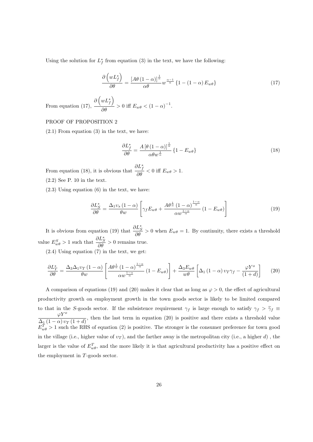Using the solution for  $L_f^*$  $f$  from equation (3) in the text, we have the following:

$$
\frac{\partial \left(wL_f^*\right)}{\partial \theta} = \frac{\left[A\theta\left(1-\alpha\right)\right]^{\frac{1}{\alpha}}}{\alpha \theta} w^{\frac{\alpha-1}{\alpha}} \left\{1 - \left(1-\alpha\right) E_{w\theta}\right\} \tag{17}
$$

From equation (17),  $\partial \left (wL_{f}^{*}\right )$  $\frac{dE_{f}}{d\theta} > 0$  iff  $E_{w\theta} < (1 - \alpha)^{-1}$ .

# PROOF OF PROPOSITION 2

 $(2.1)$  From equation  $(3)$  in the text, we have:

$$
\frac{\partial L_f^*}{\partial \theta} = \frac{A \left[\theta \left(1 - \alpha\right)\right]^{\frac{1}{\alpha}}}{\alpha \theta w^{\frac{1}{\alpha}}} \left\{1 - E_{w\theta}\right\} \tag{18}
$$

From equation (18), it is obvious that  $\frac{\partial L_f^*}{\partial \theta} < 0$  iff  $E_{w\theta} > 1$ . (2.2) See P. 10 in the text.

(2.3) Using equation (6) in the text, we have:

$$
\frac{\partial L_S^*}{\partial \theta} = \frac{\Delta_1 v_s \left(1 - \alpha\right)}{\theta w} \left[ \gamma_f E_{w\theta} + \frac{A\theta^{\frac{1}{\alpha}} \left(1 - \alpha\right)^{\frac{1 - \alpha}{\alpha}}}{\alpha w^{\frac{1 - \alpha}{\alpha}}} \left(1 - E_{w\theta}\right) \right]
$$
(19)

It is obvious from equation (19) that  $\frac{\partial L_S^*}{\partial \theta} > 0$  when  $E_{w\theta} = 1$ . By continuity, there exists a threshold value  $E_{w\theta}^{S} > 1$  such that  $\frac{\partial L_{S}^{*}}{\partial \theta} > 0$  remains true.

 $(2.4)$  Using equation  $(7)$  in the text, we get:

$$
\frac{\partial L_T^*}{\partial \theta} = \frac{\Delta_3 \Delta_1 v_T (1 - \alpha)}{\theta w} \left[ \frac{A \theta^{\frac{1}{\alpha}} (1 - \alpha)^{\frac{1 - \alpha}{\alpha}}}{\alpha w^{\frac{1 - \alpha}{\alpha}}} (1 - E_{w\theta}) \right] + \frac{\Delta_3 E_{w\theta}}{w\theta} \left[ \Delta_1 (1 - \alpha) v_T \gamma_f - \frac{\varphi Y^o}{(1 + d)} \right] \tag{20}
$$

A comparison of equations (19) and (20) makes it clear that as long as  $\varphi > 0$ , the effect of agricultural productivity growth on employment growth in the town goods sector is likely to be limited compared to that in the S-goods sector. If the subsistence requirement  $\gamma_f$  is large enough to satisfy  $\gamma_f > \tilde{\gamma}_f \equiv$  $\varphi Y^o$  $\frac{1}{\Delta_1(1-\alpha)v_T(1+d)}$ , then the last term in equation (20) is positive and there exists a threshold value  $E_{w\theta}^T > 1$  such the RHS of equation (2) is positive. The stronger is the consumer preference for town good in the village (i.e., higher value of  $v_T$ ), and the farther away is the metropolitan city (i.e., a higher d), the larger is the value of  $E_{w\theta}^T$ , and the more likely it is that agricultural productivity has a positive effect on the employment in T-goods sector.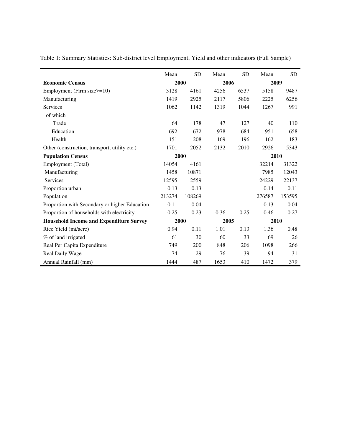|                                                | Mean   | <b>SD</b> | Mean | <b>SD</b> | Mean   | <b>SD</b> |  |
|------------------------------------------------|--------|-----------|------|-----------|--------|-----------|--|
| <b>Economic Census</b>                         | 2000   |           |      | 2006      |        | 2009      |  |
| Employment (Firm size>=10)                     | 3128   | 4161      | 4256 | 6537      | 5158   | 9487      |  |
| Manufacturing                                  | 1419   | 2925      | 2117 | 5806      | 2225   | 6256      |  |
| Services                                       | 1062   | 1142      | 1319 | 1044      | 1267   | 991       |  |
| of which                                       |        |           |      |           |        |           |  |
| Trade                                          | 64     | 178       | 47   | 127       | 40     | 110       |  |
| Education                                      | 692    | 672       | 978  | 684       | 951    | 658       |  |
| Health                                         | 151    | 208       | 169  | 196       | 162    | 183       |  |
| Other (construction, transport, utility etc.)  | 1701   | 2052      | 2132 | 2010      | 2926   | 5343      |  |
| <b>Population Census</b>                       | 2000   |           |      |           | 2010   |           |  |
| Employment (Total)                             | 14054  | 4161      |      |           | 32214  | 31322     |  |
| Manufacturing                                  | 1458   | 10871     |      |           | 7985   | 12043     |  |
| <b>Services</b>                                | 12595  | 2559      |      |           | 24229  | 22137     |  |
| Proportion urban                               | 0.13   | 0.13      |      |           | 0.14   | 0.11      |  |
| Population                                     | 213274 | 108269    |      |           | 276587 | 153595    |  |
| Proportion with Secondary or higher Education  | 0.11   | 0.04      |      |           | 0.13   | 0.04      |  |
| Proportion of households with electricity      | 0.25   | 0.23      | 0.36 | 0.25      | 0.46   | 0.27      |  |
| <b>Household Income and Expenditure Survey</b> | 2000   |           | 2005 |           | 2010   |           |  |
| Rice Yield (mt/acre)                           | 0.94   | 0.11      | 1.01 | 0.13      | 1.36   | 0.48      |  |
| % of land irrigated                            | 61     | 30        | 60   | 33        | 69     | 26        |  |
| Real Per Capita Expenditure                    | 749    | 200       | 848  | 206       | 1098   | 266       |  |
| Real Daily Wage                                | 74     | 29        | 76   | 39        | 94     | 31        |  |
| Annual Rainfall (mm)                           | 1444   | 487       | 1653 | 410       | 1472   | 379       |  |

Table 1: Summary Statistics: Sub-district level Employment, Yield and other indicators (Full Sample)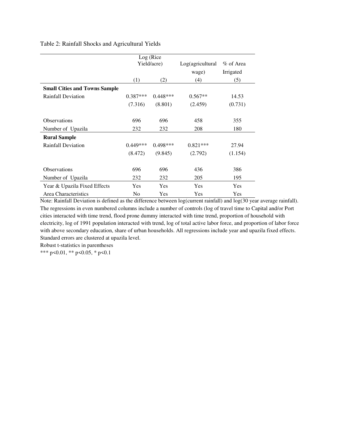# Table 2: Rainfall Shocks and Agricultural Yields

| Log (Rice)                           |                |            |                  |           |  |  |  |
|--------------------------------------|----------------|------------|------------------|-----------|--|--|--|
|                                      | Yield/acre)    |            | Log(agricultural | % of Area |  |  |  |
|                                      |                |            | wage)            | Irrigated |  |  |  |
|                                      | (1)            | (2)        | (4)              | (5)       |  |  |  |
| <b>Small Cities and Towns Sample</b> |                |            |                  |           |  |  |  |
| Rainfall Deviation                   | $0.387***$     | $0.448***$ | $0.567**$        | 14.53     |  |  |  |
|                                      | (7.316)        | (8.801)    | (2.459)          | (0.731)   |  |  |  |
|                                      |                |            |                  |           |  |  |  |
| <b>Observations</b>                  | 696            | 696        | 458              | 355       |  |  |  |
| Number of Upazila                    | 232            | 232        | 208              | 180       |  |  |  |
| <b>Rural Sample</b>                  |                |            |                  |           |  |  |  |
| <b>Rainfall Deviation</b>            | $0.449***$     | $0.498***$ | $0.821***$       | 27.94     |  |  |  |
|                                      | (8.472)        | (9.845)    | (2.792)          | (1.154)   |  |  |  |
| <b>Observations</b>                  | 696            | 696        | 436              | 386       |  |  |  |
|                                      | 232            | 232        | 205              | 195       |  |  |  |
| Number of Upazila                    |                |            |                  |           |  |  |  |
| Year & Upazila Fixed Effects         | Yes            | Yes        | Yes              | Yes       |  |  |  |
| Area Characteristics                 | N <sub>0</sub> | Yes        | Yes              | Yes       |  |  |  |

Note: Rainfall Deviation is defined as the difference between log(current rainfall) and log(30 year average rainfall). The regressions in even numbered columns include a number of controls (log of travel time to Capital and/or Port cities interacted with time trend, flood prone dummy interacted with time trend, proportion of household with electricity, log of 1991 population interacted with trend, log of total active labor force, and proportion of labor force with above secondary education, share of urban households. All regressions include year and upazila fixed effects. Standard errors are clustered at upazila level.

Robust t-statistics in parentheses

\*\*\* p<0.01, \*\* p<0.05, \* p<0.1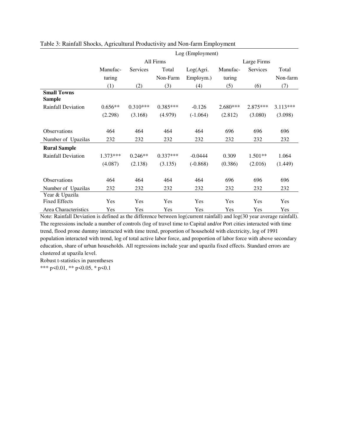|                                     | Log (Employment) |                 |            |            |             |           |            |  |
|-------------------------------------|------------------|-----------------|------------|------------|-------------|-----------|------------|--|
|                                     | All Firms        |                 |            |            | Large Firms |           |            |  |
|                                     | Manufac-         | <b>Services</b> | Total      | Log(Agri.  | Manufac-    | Services  | Total      |  |
|                                     | turing           |                 | Non-Farm   | Employm.)  | turing      |           | Non-farm   |  |
|                                     | (1)              | (2)             | (3)        | (4)        | (5)         | (6)       | (7)        |  |
| <b>Small Towns</b><br><b>Sample</b> |                  |                 |            |            |             |           |            |  |
| <b>Rainfall Deviation</b>           | $0.656**$        | $0.310***$      | $0.385***$ | $-0.126$   | $2.680***$  | 2.875***  | $3.113***$ |  |
|                                     | (2.298)          | (3.168)         | (4.979)    | $(-1.064)$ | (2.812)     | (3.080)   | (3.098)    |  |
|                                     |                  |                 |            |            |             |           |            |  |
| <b>Observations</b>                 | 464              | 464             | 464        | 464        | 696         | 696       | 696        |  |
| Number of Upazilas                  | 232              | 232             | 232        | 232        | 232         | 232       | 232        |  |
| <b>Rural Sample</b>                 |                  |                 |            |            |             |           |            |  |
| <b>Rainfall Deviation</b>           | 1.373***         | $0.246**$       | $0.337***$ | $-0.0444$  | 0.309       | $1.501**$ | 1.064      |  |
|                                     | (4.087)          | (2.138)         | (3.135)    | $(-0.868)$ | (0.386)     | (2.016)   | (1.449)    |  |
|                                     |                  |                 |            |            |             |           |            |  |
| <b>Observations</b>                 | 464              | 464             | 464        | 464        | 696         | 696       | 696        |  |
| Number of Upazilas                  | 232              | 232             | 232        | 232        | 232         | 232       | 232        |  |
| Year & Upazila                      |                  |                 |            |            |             |           |            |  |
| <b>Fixed Effects</b>                | Yes              | Yes             | Yes        | Yes        | Yes         | Yes       | Yes        |  |
| Area Characteristics                | Yes              | Yes             | Yes        | Yes        | Yes         | Yes       | Yes        |  |

# Table 3: Rainfall Shocks, Agricultural Productivity and Non-farm Employment

Note: Rainfall Deviation is defined as the difference between log(current rainfall) and log(30 year average rainfall). The regressions include a number of controls (log of travel time to Capital and/or Port cities interacted with time trend, flood prone dummy interacted with time trend, proportion of household with electricity, log of 1991 population interacted with trend, log of total active labor force, and proportion of labor force with above secondary education, share of urban households. All regressions include year and upazila fixed effects. Standard errors are clustered at upazila level.

Robust t-statistics in parentheses \*\*\* p<0.01, \*\* p<0.05, \* p<0.1